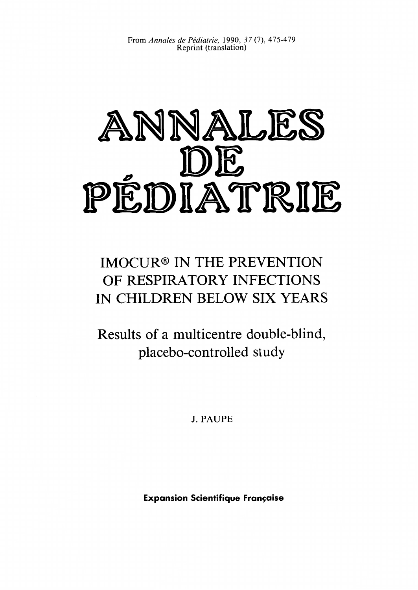From *Annales de Pddiatrie,* 1990, *37* (7), 475-479 Reprint (translation)

# ANNALES DE PÉDIATRIE

## IMOCUR<sup>®</sup> IN THE PREVENTION OF RESPIRATORY INFECTIONS IN CHILDREN BELOW SIX YEARS

Results of a multicentre double-blind, placebo-controlled study

**J. PAUPE** 

**Expansion Scientifique Française**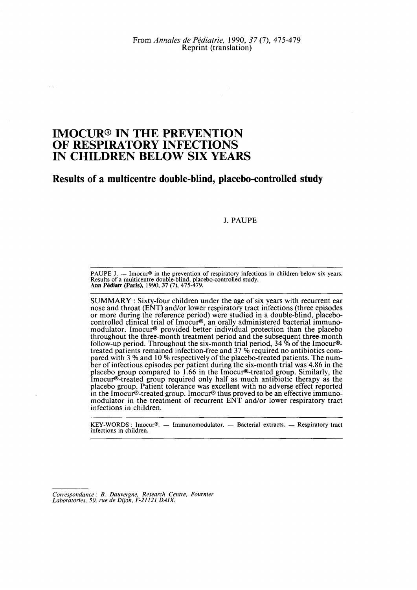### **IMOCUR® IN THE PREVENTION OF RESPIRATORY INFECTIONS IN CHILDREN BELOW SIX YEARS**

**Results of a multicentre double-blind, placebo-controlled study** 

#### **J.** PAUPE

**PAUPE J.** - Imocur<sup>®</sup> in the prevention of respiratory infections in children below six years. **Presults of a multicentre double-blind, place becontrolled study. Ann Pediatr (Paris), 1990, 37 (7), 475-479. Results** of **a multicentre double-blind, placebo-controlled study.** 

SUMMARY : Sixty-four children under the age of six years with recurrent ear nose and throat (ENT) and/or lower respiratory tract infections (three episodes or more during the reference period) were studied in a double-blind, placebocontrolled clinical trial of Imocur@, an orally administered bacterial immunomodulator. Imocur<sup>®</sup> provided better individual protection than the placebo throughout the three-month treatment period and the subsequent three-month follow-up period. Throughout the six-month trial period, 34  $\%$  of the Imocur $\odot$ treated patients remained infection-free and 37 Yo required no antibiotics compared with 3 % and 10 % respectively of the placebo-treated patients. The number of infectious episodes per patient during the six-month trial was 4.86 in the placebo group compared to 1.66 in the Imocur@-treated group. Similarly, the Imocur@-treated group required only half as much antibiotic therapy as the placebo group. Patient tolerance was excellent with no adverse effect reported in the Imocur®-treated group. Imocur® thus proved to be an effective immunomodulator in the treatment of recurrent ENT and/or lower respiratory tract infections in children.

**KEY-WORDS** : **Imocur@.** - **Immunomodulator.** - **Bacterial extracts.** - **Respiratory tract infections in children.** 

*Correspondance* : *B. Dauvergne, Research Centre, Fournier Laboratories, 50, rue de Dijon, F-21121 DAIX.*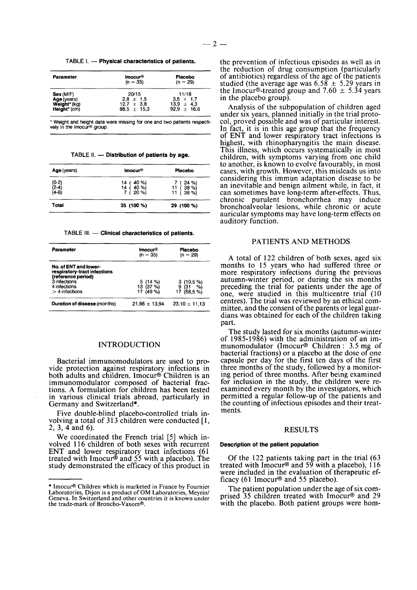TABLE I. - Physical characteristics of patients.

| Parameter    | <b>Imocur<sup>®</sup></b><br>$(n = 35)$ | Placebo<br>$(n = 29)$ |  |  |
|--------------|-----------------------------------------|-----------------------|--|--|
| Sex(M/F)     | 20/15                                   | 11/18                 |  |  |
| Age (years)  | $2.8 \pm 1.5$                           | $3.5 \pm 1.7$         |  |  |
| Weight* (kg) | $12.7 \pm 3.8$                          | $13.9 \pm 4.3$        |  |  |
| Height* (cm) | $88.5 \pm 15.3$                         | $92.9 \pm 16.6$       |  |  |

\* **Weight and height data were missing for one and two patients respecti**vely in the Imocur<sup>®</sup> aroup.

TABLE II. - Distribution of patients by age.

| Imocur <sup>®</sup>                                    | Placebo                                 |  |
|--------------------------------------------------------|-----------------------------------------|--|
| 40 %)<br>14<br>14<br>40 %)<br>$\overline{ }$<br>$20\%$ | $24 \%$<br>$38 \%$<br>11<br>38 %)<br>11 |  |
| 35 (100 %)                                             | 29 (100 %)                              |  |
|                                                        |                                         |  |

**TABLE 111.** - **Clinical characteristics of patients.** 

| <b>Imocur<sup>®</sup></b><br>$(n = 35)$ | Placebo<br>$(n = 29)$                       |
|-----------------------------------------|---------------------------------------------|
| 5(14%)<br>13 $(37 \%)$<br>17 $(49%$     | 3(10.5%)<br>(31)<br>9<br>%)<br>(58.5%<br>17 |
| $21.66 \pm 13.94$                       | $23,10 \pm 11,13$                           |
|                                         |                                             |

#### INTRODUCTION

Bacterial immunomodulators are used to provide protection against respiratory infections i both adults and children. Imocur<sup>®</sup> Children is an immunomodulator composed of bacterial fractions. A formulation for children has been tested in various clinical trials abroad, particularly in Germany and Switzerland\*.

Five double-blind placebo-controlled trials involving a total of **3 13** children were conducted [ **1, 2, 3, 4** and **6).** 

We coordinated the French trial **[5]** which involved **1 16** children of both sexes with recurrent ENT and lower respiratory tract infections **(61**  treated with Imocur@ and **55** with a placebo). The study demonstrated the efficacy of this product in

the prevention of infectious episodes as well as in the reduction of drug consumption (particularly of antibiotics) regardless of the age of the patients studied (the average age was **6.58** \* **5.29** years in the Imocur<sup>®</sup>-treated group and  $7.60 \pm 5.34$  years in the placebo group).

Analysis of the subpopulation of children aged under six years, planned initially in the trial protocol, proved possible and was of particular interest. In fact, it is in this age group that the frequency of ENT and lower respiratory tract infections is highest, with rhinopharyngitis the main disease.<br>This illness, which occurs systematically in most children, with symptoms varying from one child to another, is known to evolve favourably, in most cases, with growth. However, this misleads us into considering this immun adaptation disease to be an inevitable and benign ailment while, in fact, it can sometimes have long-term after-effects. Thus, chronic purulent bronchorrhea may induce bronchoalveolar lesions, while chronic or acute auricular symptoms may have long-term effects on auditory function.

#### PATIENTS AND METHODS

A total of **122** children of both sexes, aged six months to **15** years who had suffered three or more respiratory infections during the previous autumn-winter period, or during the six months preceding the trial for patients under the age of one, were studied in this multicentre trial (10 centres). The trial was reviewed by an ethical committee, and the consent of the parents or legal guardians was obtained for each of the children taking part.

The study lasted for six months (autumn-winter of **1985-1986)** with the administration of an immunomodulator (Imocur@ Children : **3.5** mg of bacterial fractions) or a placebo at the dose of one capsule per day for the first ten days of the first three months of the study, followed by a monitoring period of three months. After being examined for inclusion in the study, the children were reexamined every month by the investigators, which permitted a regular follow-up of the patients and the counting of infectious episodes and their treatments.

#### RESULTS

#### **Description of the patient population**

Of the **122** patients taking part in the trial **(63**  treated with Imocur@ and **59** with a placebo), 1 **16**  were included in the evaluation of therapeutic efficacy **(61** Imocur@ and *55* placebo).

The patient population under the age of six comprised **35** children treated with Imocur@ and **29**  with the placebo. Both patient groups were hom-

<sup>\*</sup> Imocur<sup>®</sup> Children which is marketed in France by Fournier Laboratories, Dijon is a product of OM Laboratories, Meyrin/ **Laboratories, Digon is a product in the countries it is known under Geneva. In Switzerland and other countries it is known under the trade-mark** of **Broncho-Vaxomo.**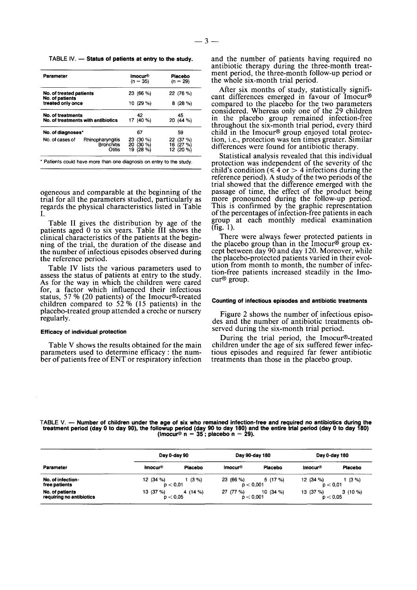TABLE IV. - Status of patients at entry to the study.

| <b>Parameter</b>                                        |                                                 | Imocur®<br>$(n = 35)$                       | Placebo<br>$(n = 29)$                 |  |
|---------------------------------------------------------|-------------------------------------------------|---------------------------------------------|---------------------------------------|--|
| No. of treated patients<br>No. of patients              |                                                 | 23 (66 %)                                   | 22 (76 %)                             |  |
| treated only once                                       |                                                 | 10 (29 %)                                   | 8(28%)                                |  |
| No. of treatments<br>No. of treatments with antibiotics |                                                 | 42<br>17 (40 %)                             | 45<br>20 (44 %)                       |  |
| No. of diagnoses*                                       |                                                 | 67                                          | 59                                    |  |
| No. of cases of                                         | Rhinopharyngitis<br><b>Bronchitis</b><br>Otitis | $(30\% )$<br>23<br>20 (30 %)<br>19<br>(28%) | (37%)<br>22<br>16 (27 %)<br>12 (20 %) |  |

\* Patients could have **more** than one diagnosis on entry to the **study** 

ogeneous and comparable at the beginning of the trial for all the parameters studied, particularly as regards the physical characteristics listed in Table I.

Table I1 gives the distribution by age of the patients aged 0 to six years. Table I11 shows the clinical characteristics of the patients at the beginning of the trial, the duration of the disease and the number of infectious episodes observed during the reference period.

Table IV lists the various parameters used to assess the status of patients at entry to the study. **As** for the way in which the children were cared for, a factor which influenced their infectious status, 57 Yo (20 patients) of the Imocur@-treated children compared to  $52\%$  (15 patients) in the placebo-treated group attended a creche or nursery regularly.

#### **Efficacy of individual protection**

Table V shows the results obtained for the main parameters used to determine efficacy : the number of patients free of ENT or respiratory infection and the number of patients having required no antibiotic therapy during the three-month treatment period, the three-month follow-up period or the whole six-month trial period.

After six months of study, statistically significant differences emerged in favour of Imocur@ compared to the placebo for the two parameters considered. Whereas only one of the 29 children in the placebo group remained infection-free throughout the six-month trial period, every third child in the Imocur@ group enjoyed total protection, i.e., protection was ten times greater. Similar differences were found for antibiotic therapy.

Statistical analysis revealed that this individual protection was independent of the severity of the child's condition ( $\leq 4$  or  $> 4$  infections during the reference period). **A** study of the two periods of the trial showed that the difference emerged with the passage of time, the effect of the product being more pronounced during the follow-up period. This is confirmed by the graphic representation of the percentages of infection-free patients in each group at each monthly medical examination (fig. 1).

There were always fewer protected patients in the placebo group than in the Imocur@ group except between day 90 and day 120. Moreover, while the placebo-protected patients varied in their evolution from month to month, the number of infection-free patients increased steadily in the Imocur@ group.

#### **Counting of infectious episodes and antibiotic treatments**

Figure 2 shows the number of infectious episodes and the number of antibiotic treatments observed during the six-month trial period.

During the trial period, the Imocur@-treated children under the age of six suffered fewer infectious episodes and required far fewer antibiotic treatments than those in the placebo group.

TABLE V. - Number of children under the age of six who remained infection-free and required no antibiotics during the **treatment period (day 0 to day go), the followup period (day 90 to day 180) and the entire trial period (day 0 to day 180) (Imocuro n** = **35** ; **placebo n** = **29).** 

|                                             |                                  | Day 0-day 90 |                        | Day 90-day 180 |                         | Day 0-day 180 |  |
|---------------------------------------------|----------------------------------|--------------|------------------------|----------------|-------------------------|---------------|--|
| Parameter                                   | Inocur <sup>®</sup>              | Placebo      | Inocur <sup>®</sup>    | Placebo        | Inocur <sup>®</sup>     | Placebo       |  |
| No. of infection-<br>free patients          | 12 (34 %)<br>$p'$ < 0.01         | $1(3\%)$     | 23 (66 %)<br>p < 0.001 | 5(17%)         | 12 (34 %)<br>$p < 0.01$ | 1(3%)         |  |
| No. of patients<br>requiring no antibiotics | 13 $(37%)$<br>$p'$ $<$ 0.05 $p'$ | 4 (14 %)     | 27 (77 %)<br>p < 0.001 | 10 $(34\%$     | 13 (37 %)<br>p < 0.05   | $3(10\%)$     |  |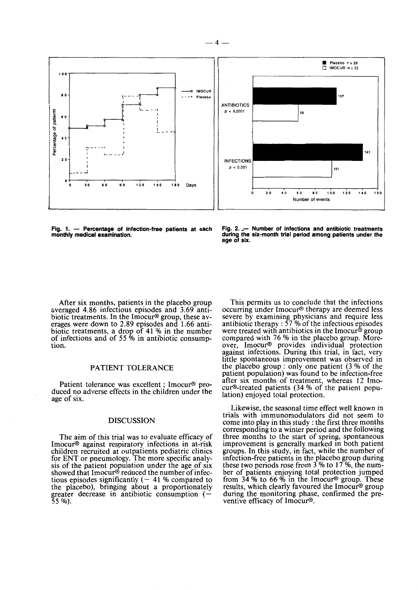

Fig. 1. - Percentage of infection-free patients at each **monthly medical examination.** 

Fig. 2. - **Number of infections and antibiotic treatments during the six-month trial period among patients under the age of six.** 

After six months, patients in the placebo group averaged **4.86** infectious episodes and **3.69** antibiotic treatments. In the Imocur<sup>®</sup> group, these averages were down to **2.89** episodes and **1.66** antibiotic treatments, a drop of 41 % in the number of infections and of **55** *Oh* in antibiotic consumption.

#### PATIENT TOLERANCE

Patient tolerance was excellent ; Imocur<sup>®</sup> produced no adverse effects in the children under the age of six.

#### DISCUSSION

The aim of this trial was to evaluate efficacy of Imocur@ against respiratory infections in at-risk children recruited at outpatients pediatric clinics for ENT or pneumology. The more specific analysis of the patient population under the age of six showed that Imocur $\mathcal{D}$  reduced the number of infectious episodes significantly  $(-41\%$  compared to the placebo), bringing about a proportionately greater decrease in antibiotic consumption (- **55** Yo).

This permits us to conclude that the infections occurring under Imocur@ therapy are deemed less severe by examining physicians and require less<br>antibiotic therapy : 57 % of the infectious episodes were treated with antibiotics in the Imocur<sup>®</sup> group compared with 76 % in the placebo group. Moreover, Imocur<sup>®</sup> provides individual protection against infections. During this trial, in fact, very little spontaneous improvement was observed in the placebo group : only one patient (3 % of the patient population) was found to be infection-free after six months of treatment, whereas 12 Imocur<sup>®</sup>-treated patients (34 % of the patient population) enjoyed total protection.

Likewise, the seasonal time effect well known in trials with immunomodulators did not seem to come into play in this study : the first three months corresponding to a winter period and the following three months to the start of spring, spontaneous improvement is generally marked in both patient groups. In this study, in fact, while the number of infection-free patients in the placebo group during these two periods rose from **3** Yo to **17** Yo, the number of patients enjoying total protection jumped from **34** Yo to **66** Yo in the Imocur@ group. These results, which clearly favoured the Imocur<sup>®</sup> group during the monitoring phase, confirmed the preventive efficacy of Imocur®.